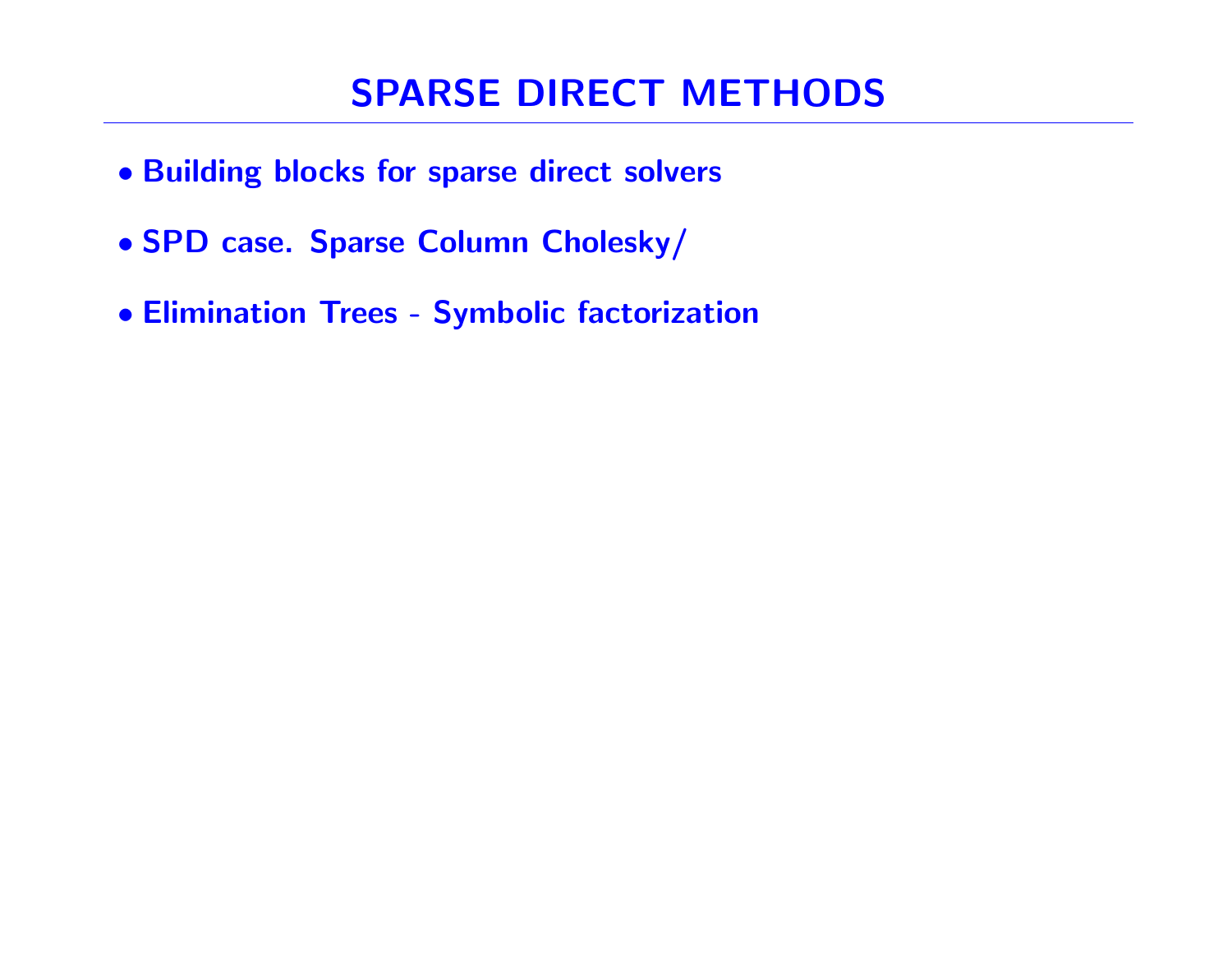# SPARSE DIRECT METHODS

- Building blocks for sparse direct solvers
- SPD case. Sparse Column Cholesky/
- Elimination Trees Symbolic factorization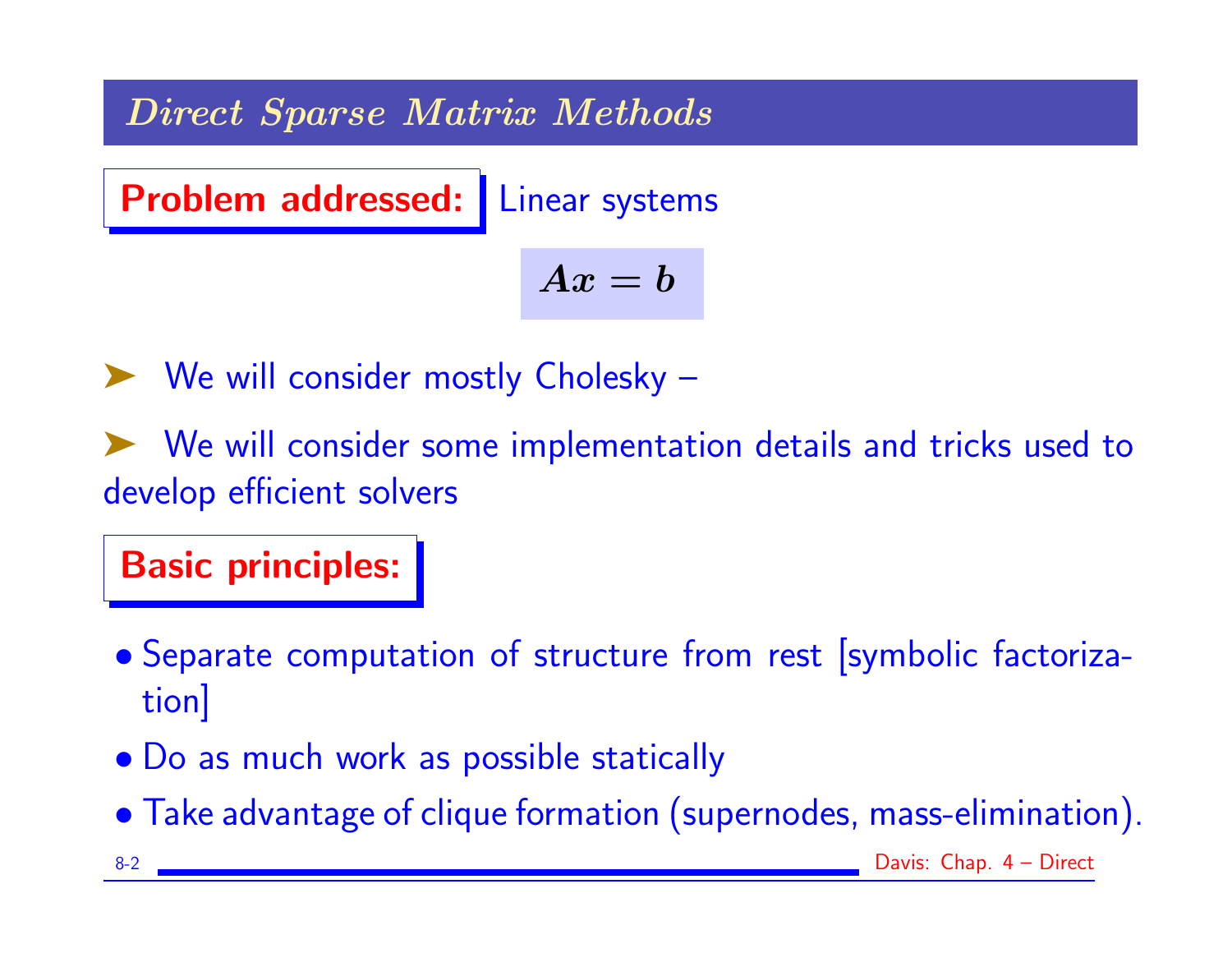Direct Sparse Matrix Methods

Problem addressed: Linear systems

$$
Ax = b
$$

➤ We will consider mostly Cholesky –

➤ We will consider some implementation details and tricks used to develop efficient solvers

Basic principles:

- Separate computation of structure from rest [symbolic factorization]
- Do as much work as possible statically
- Take advantage of clique formation (supernodes, mass-elimination).
- 8-2 Davis: Chap. 4 Direct
-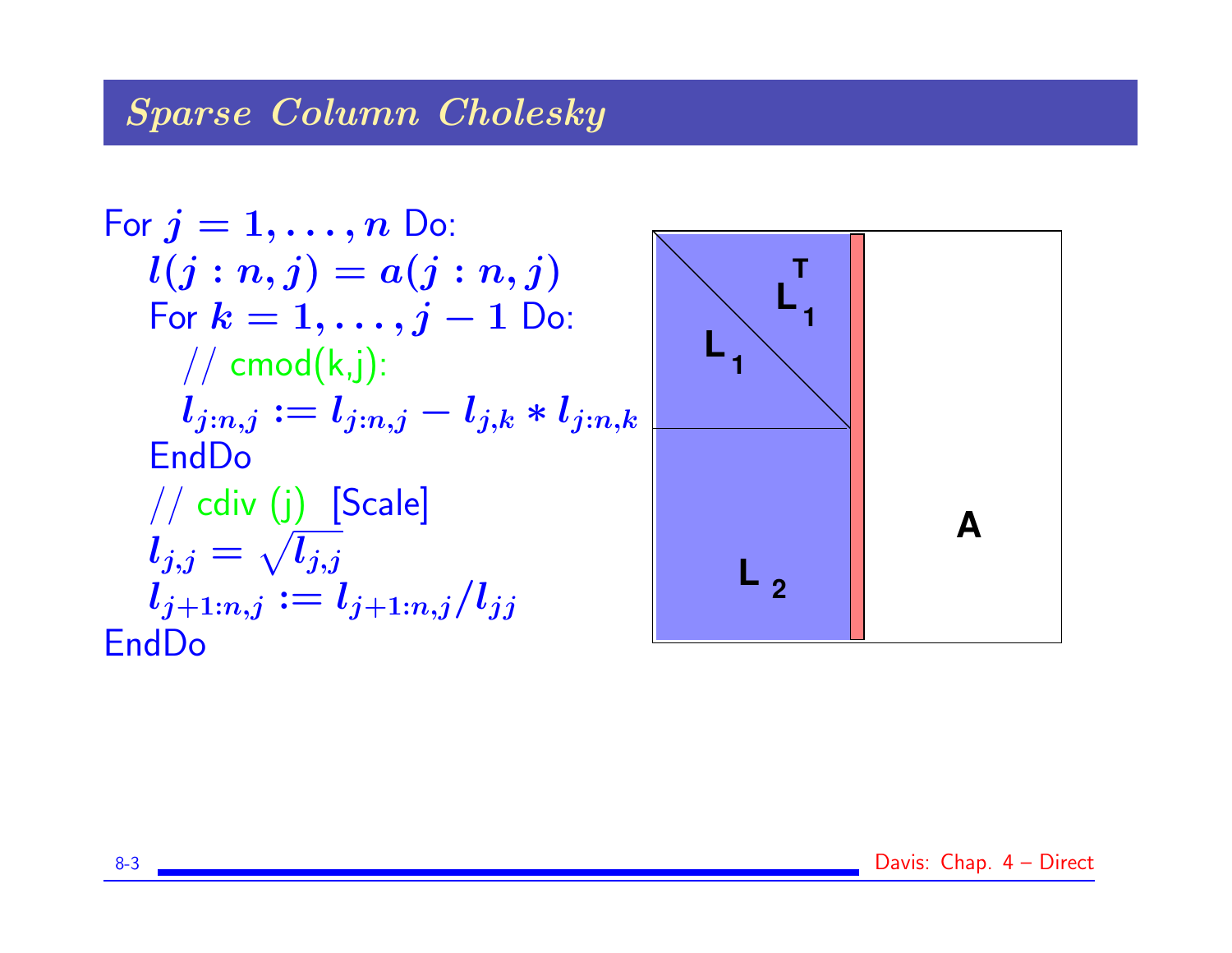# Sparse Column Cholesky

For 
$$
j = 1, ..., n
$$
 Do:  
\n $l(j:n, j) = a(j:n, j)$   
\nFor  $k = 1, ..., j - 1$  Do:  
\n//  $\text{cmod}(k,j)$ :  
\n $l_{j:n,j} := l_{j:n,j} - l_{j,k} * l_{j:n,k}$   
\nEndDo  
\n//  $\text{cdiv}(j)$  [Scale]  
\n $l_{j,j} = \sqrt{l_{j,j}}$   
\n $l_{j+1:n,j} := l_{j+1:n,j}/l_{jj}$   
\nEndDo

8-3 **Davis: Chap. 4 – Direct**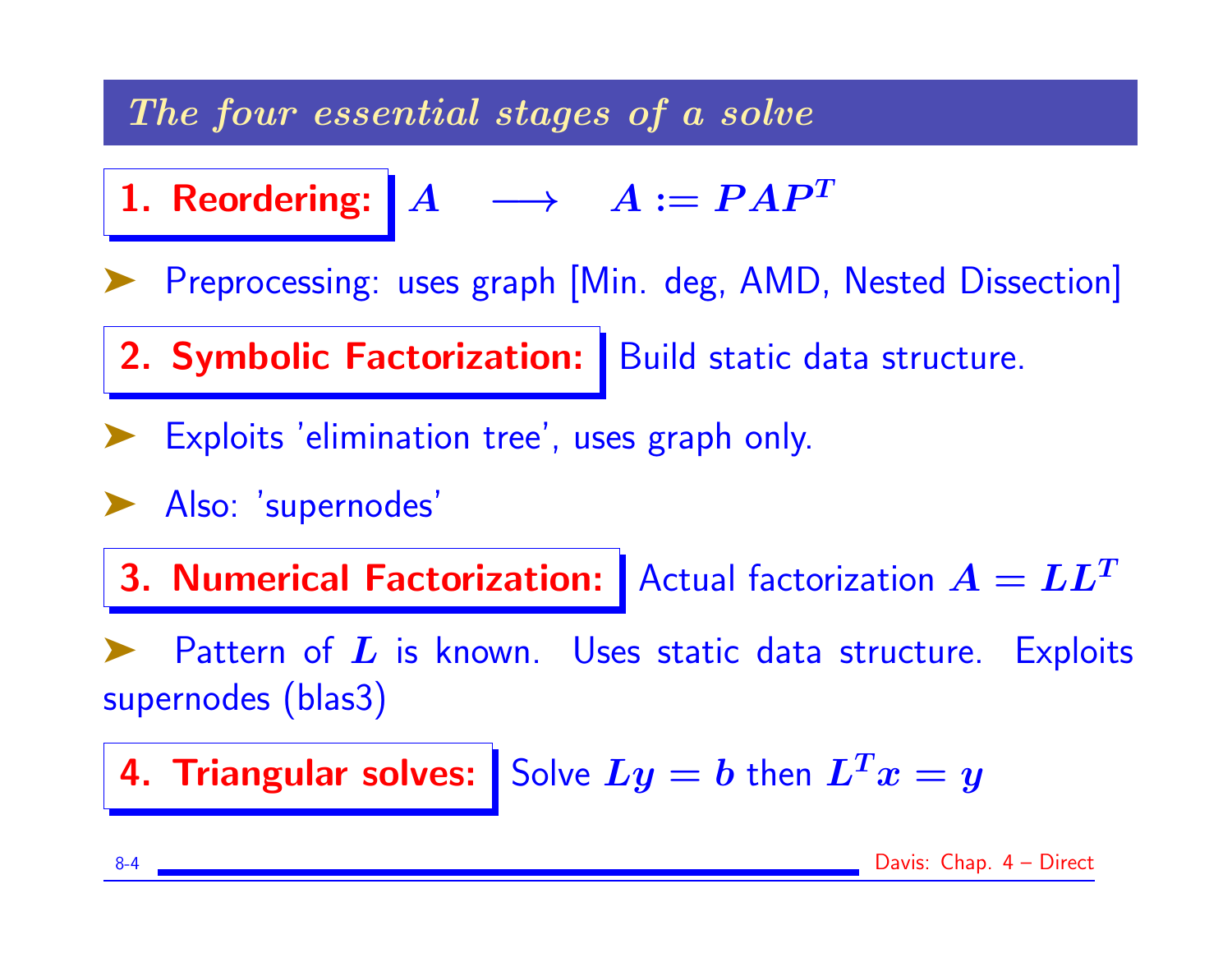### The four essential stages of a solve

1. Reordering: 
$$
A \rightarrow A := PAP^T
$$

Preprocessing: uses graph [Min. deg, AMD, Nested Dissection]

2. Symbolic Factorization: Build static data structure.

Exploits 'elimination tree', uses graph only.

➤ Also: 'supernodes'

3. Numerical Factorization: Actual factorization  $A = LL^T$ 

Pattern of  $L$  is known. Uses static data structure. Exploits supernodes (blas3)

4. Triangular solves: Solve  $Ly = b$  then  $L^Tx = y$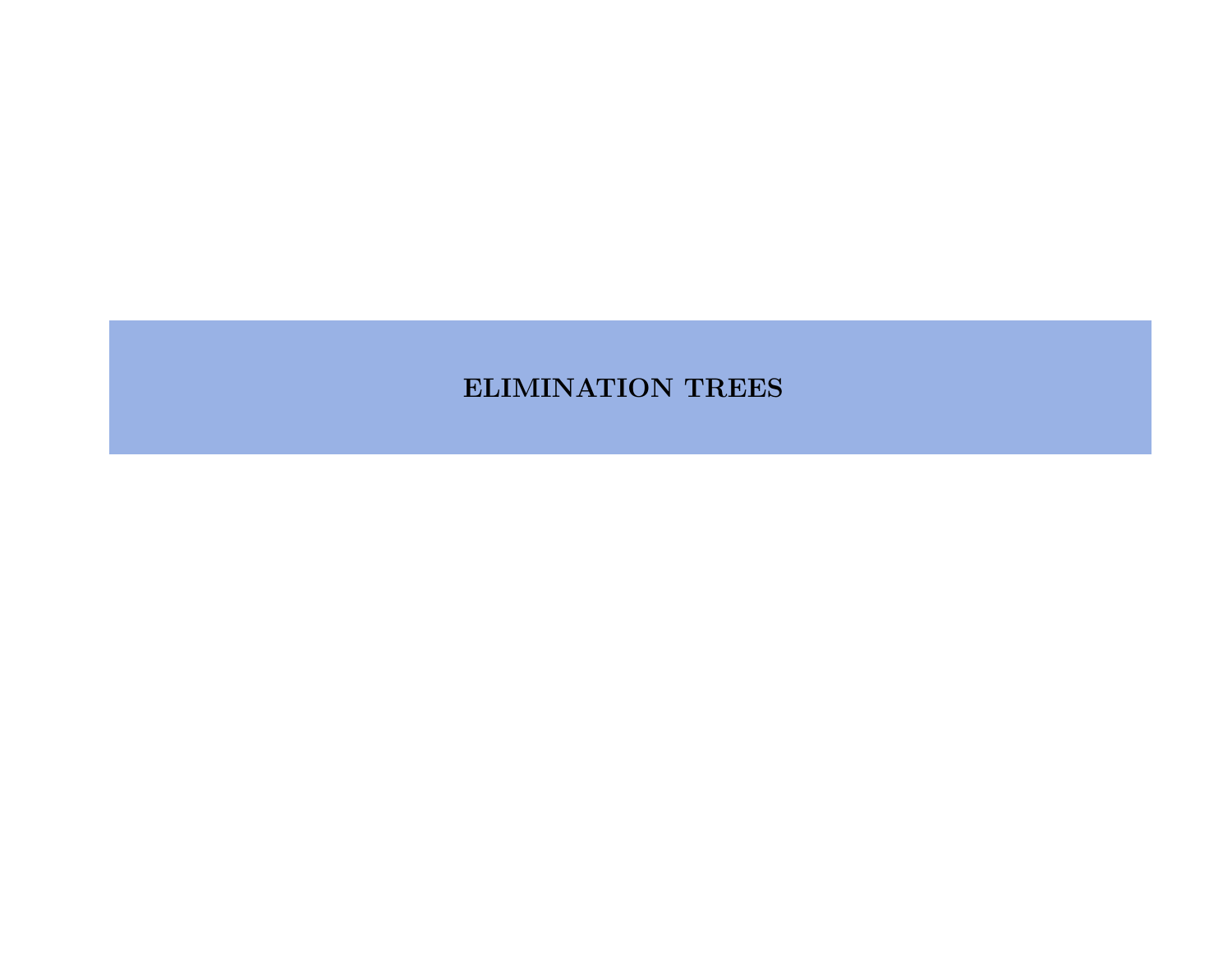#### ELIMINATION TREES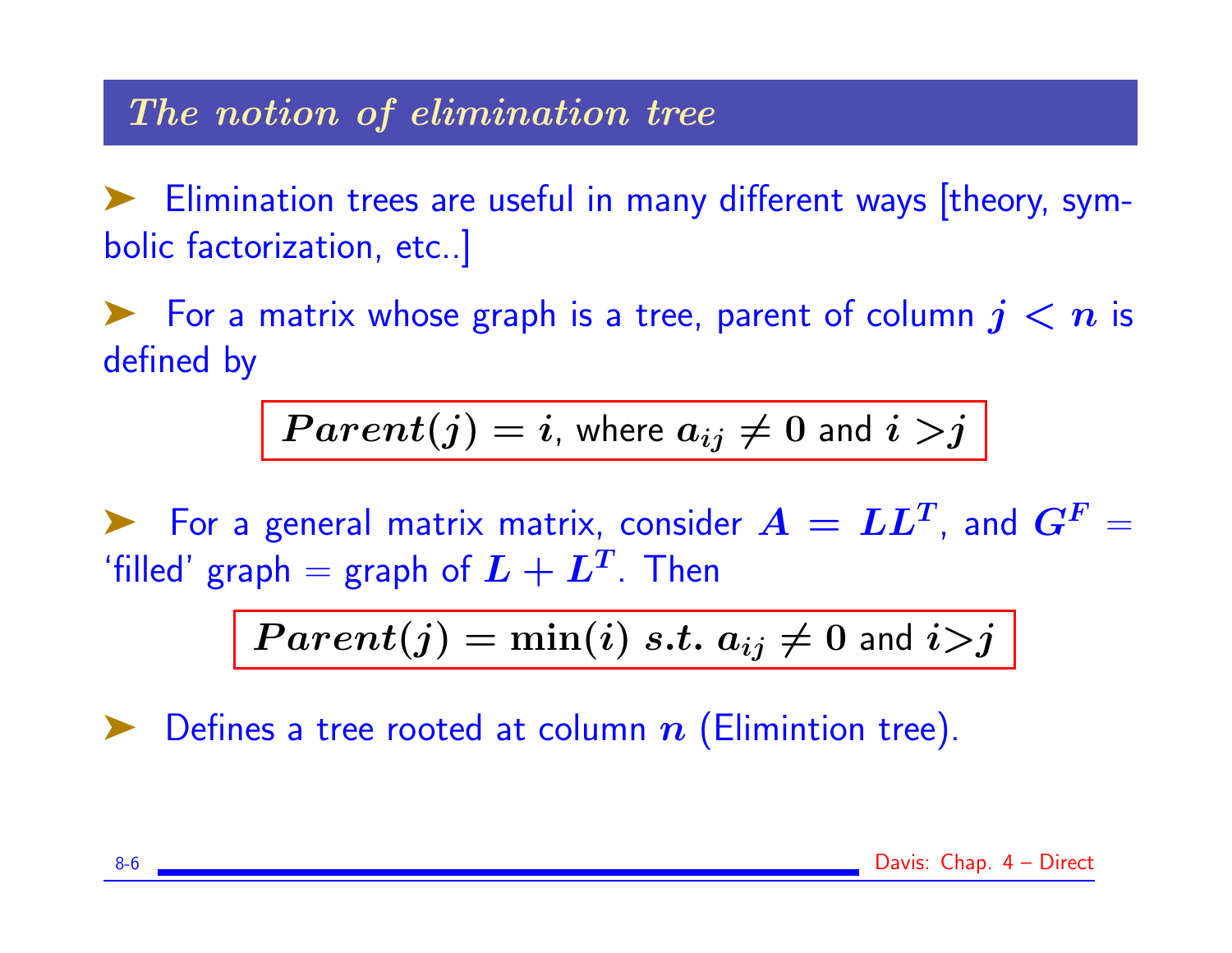### The notion of elimination tree

➤ Elimination trees are useful in many different ways [theory, symbolic factorization, etc..]

For a matrix whose graph is a tree, parent of column  $j < n$  is defined by

$$
Parent(j) = i, where a_{ij} \neq 0 and i > j
$$

For a general matrix matrix, consider  $\bm{A} = \bm{L}\bm{L}^T$ , and  $\bm{G}^F = \bm{L}\bm{L}$ 'filled' graph = graph of  $\boldsymbol{L} + \boldsymbol{L^T}$ . Then

$$
Parent(j) = \min(i) \ s.t. \ a_{ij} \neq 0 \text{ and } i > j
$$

Defines a tree rooted at column  $n$  (Elimintion tree).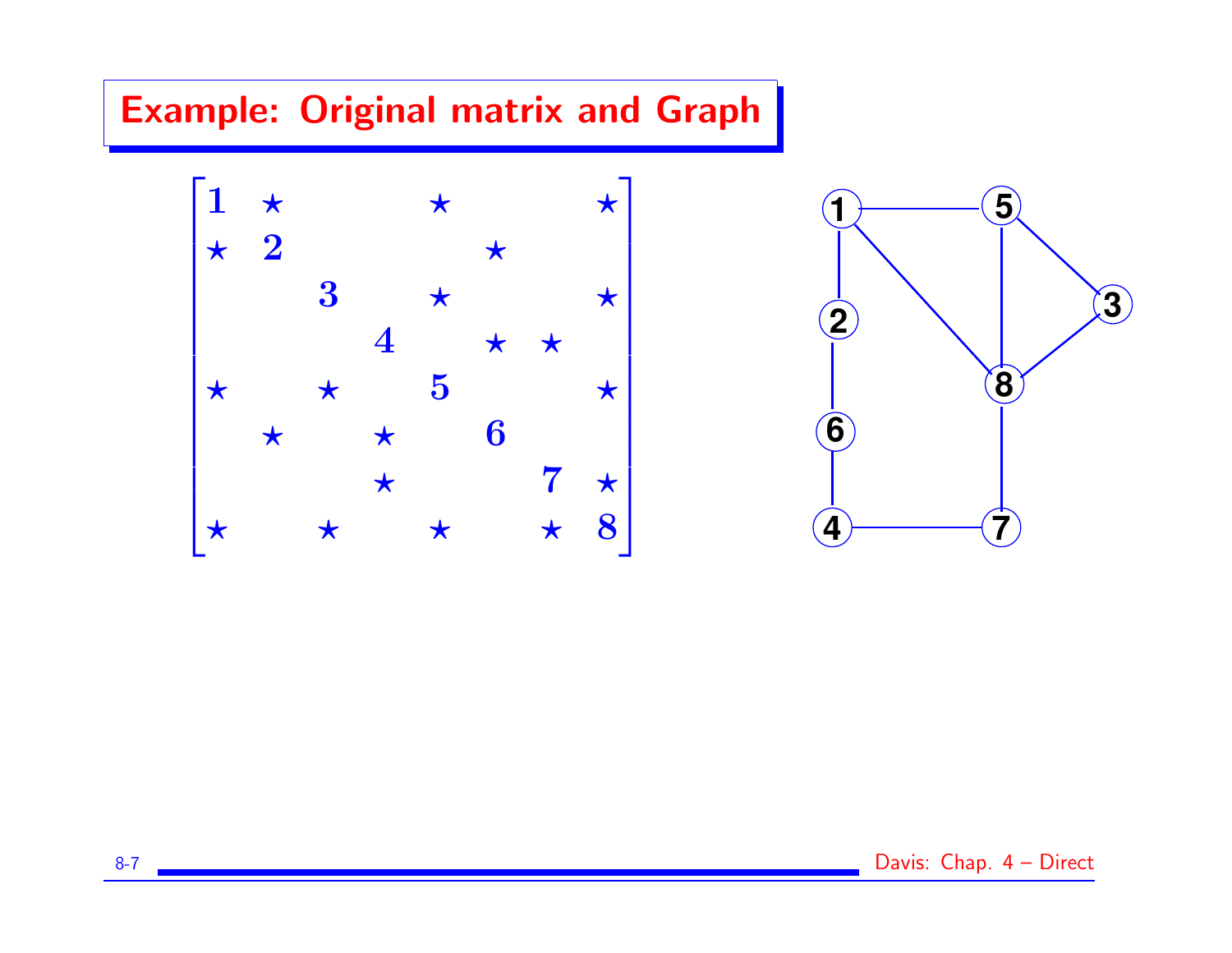# Example: Original matrix and Graph





8-7 Letter 2012 1: 2013 1: 2014 1: 2015 1: 2014 1: 2015 2: 2016 1: 2017 2: 2016 2: 2017 2: 2018 2: 2019 2: 201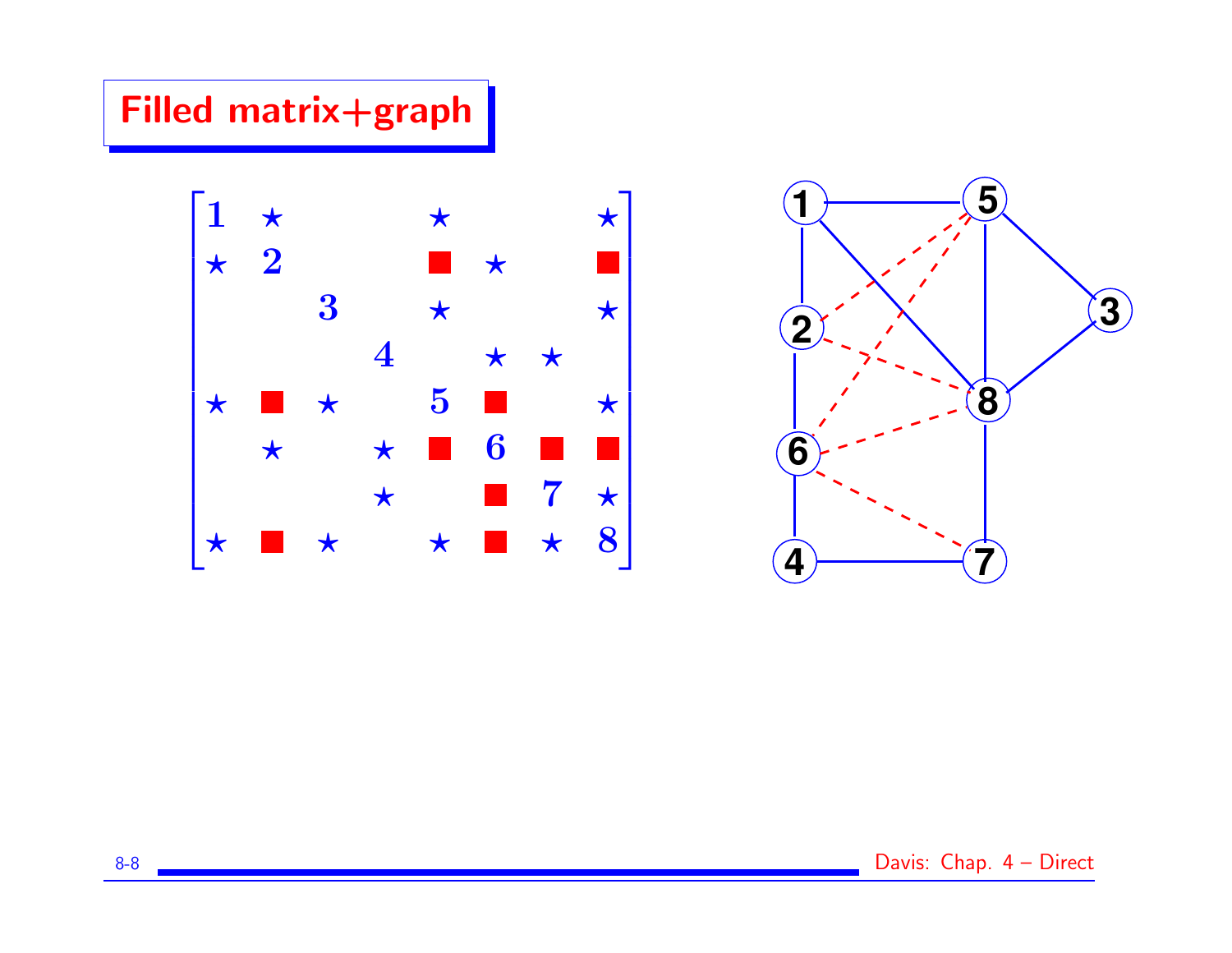# Filled matrix+graph



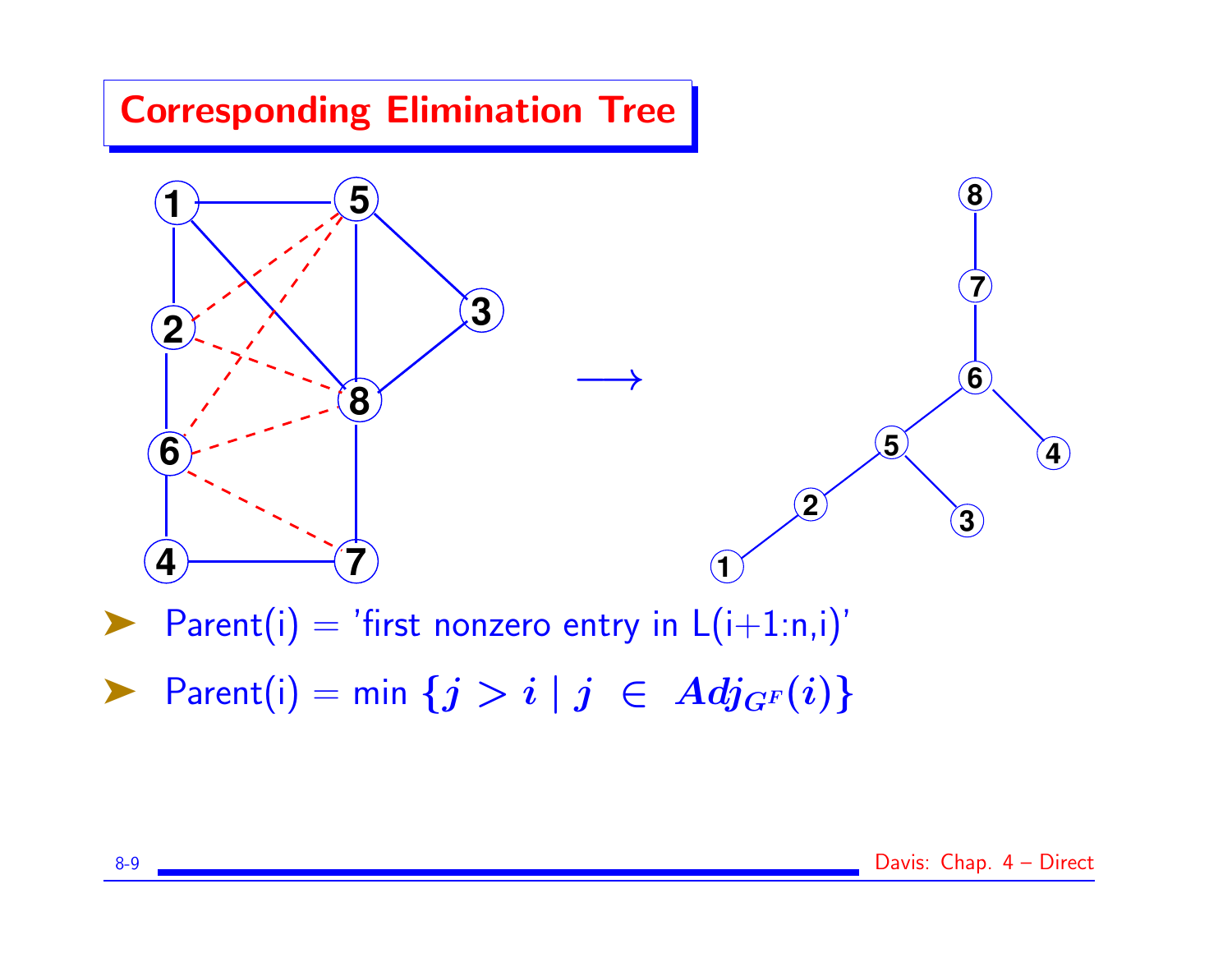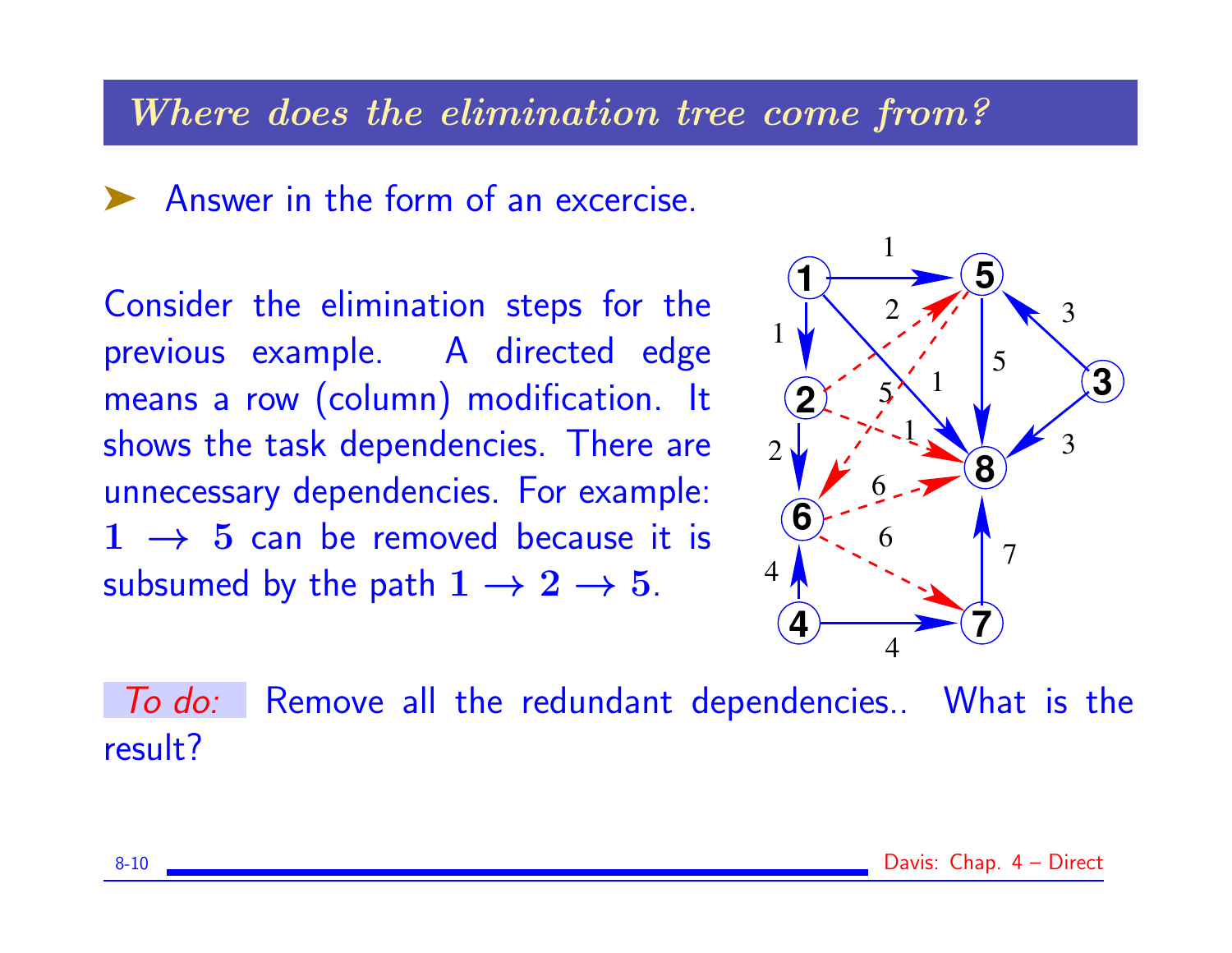#### Where does the elimination tree come from?

▶ Answer in the form of an excercise.

Consider the elimination steps for the previous example. A directed edge means a row (column) modification. It shows the task dependencies. There are unnecessary dependencies. For example:  $1 \rightarrow 5$  can be removed because it is subsumed by the path  $1 \rightarrow 2 \rightarrow 5$ .



To do: Remove all the redundant dependencies.. What is the result?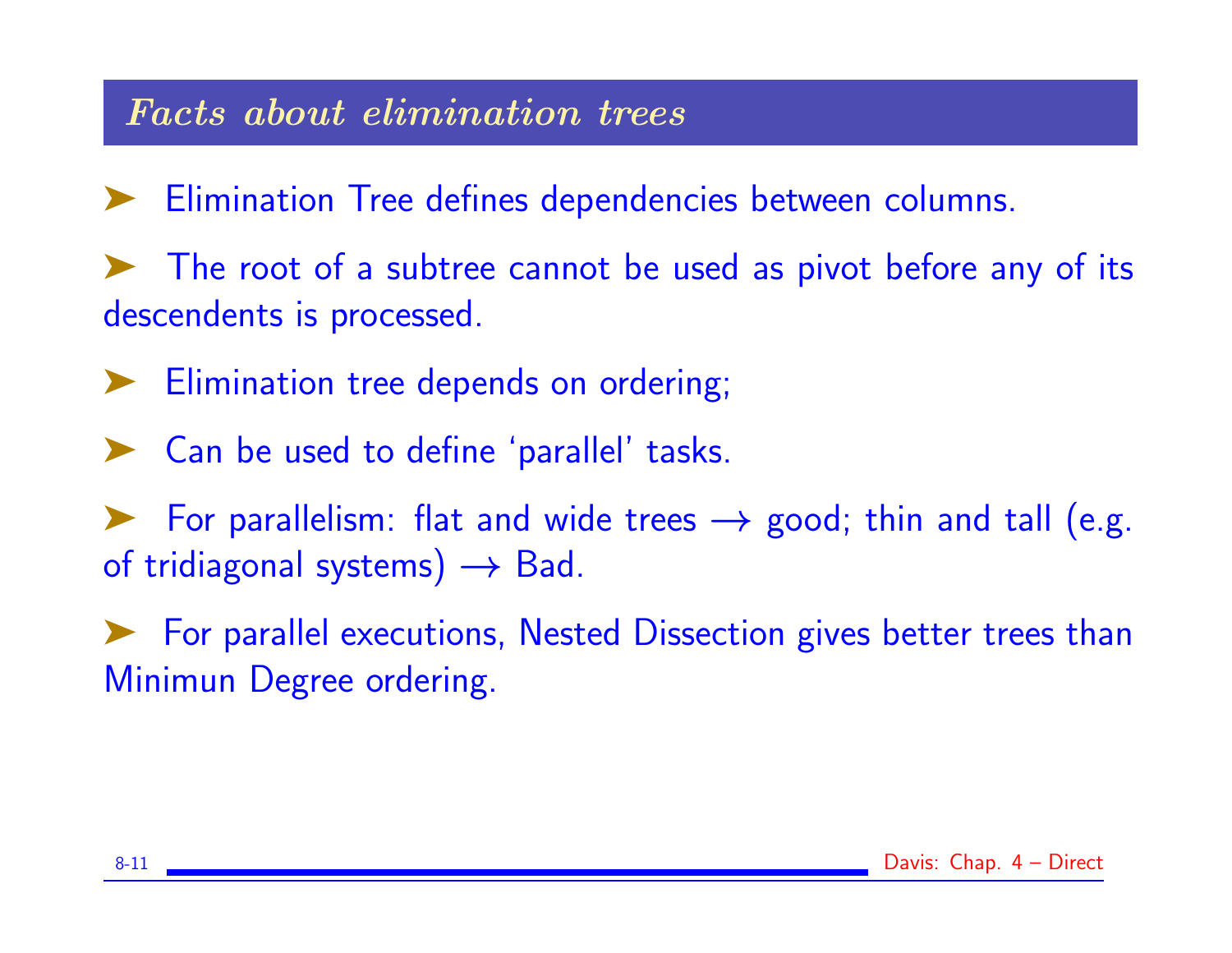### Facts about elimination trees

- Elimination Tree defines dependencies between columns.
- ➤ The root of a subtree cannot be used as pivot before any of its descendents is processed.
- Elimination tree depends on ordering;
- ➤ Can be used to define 'parallel' tasks.
- For parallelism: flat and wide trees  $\rightarrow$  good; thin and tall (e.g. of tridiagonal systems)  $\rightarrow$  Bad.
- ➤ For parallel executions, Nested Dissection gives better trees than Minimun Degree ordering.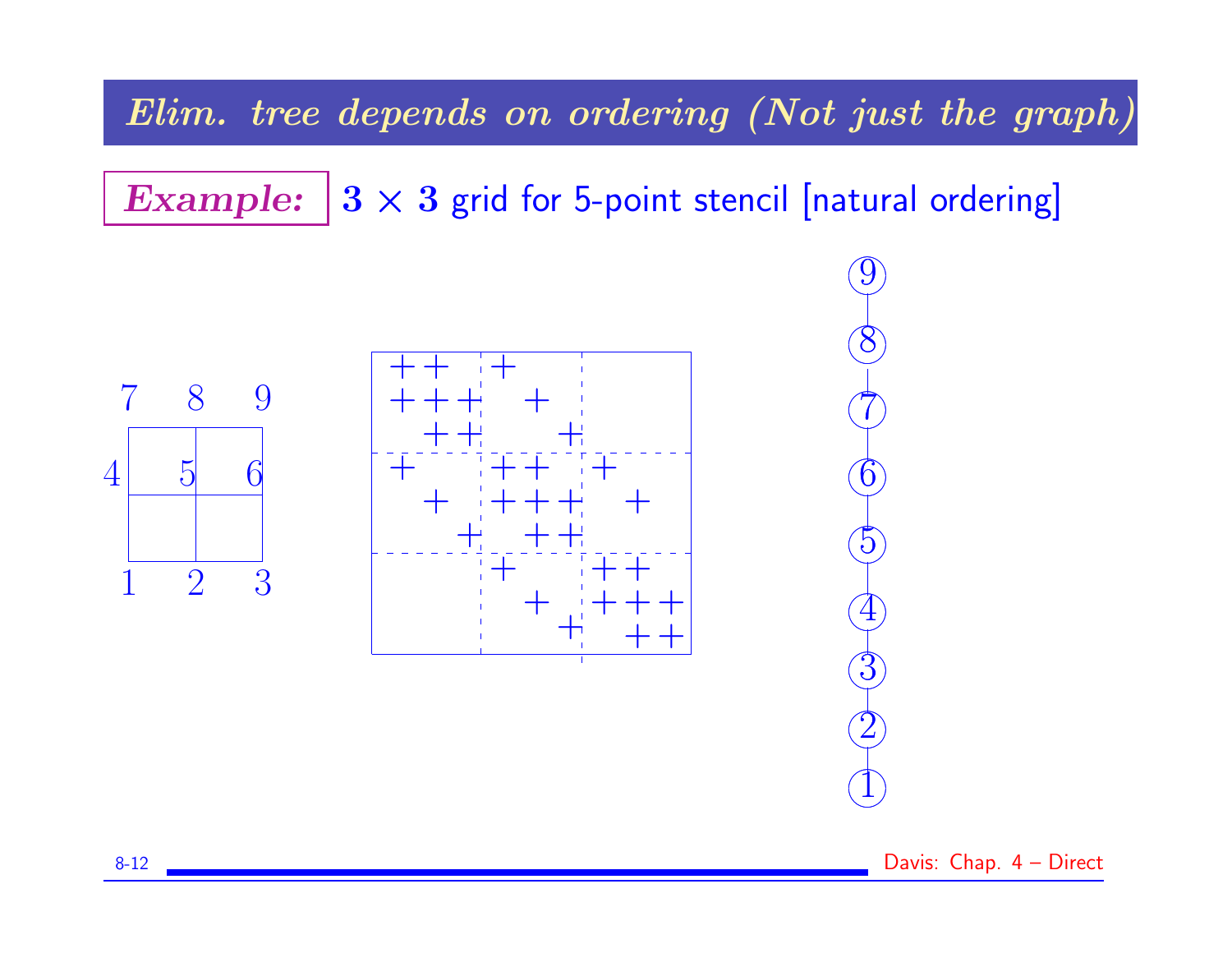Elim. tree depends on ordering (Not just the graph)

Example:  $3 \times 3$  grid for 5-point stencil [natural ordering]



✖✕

 $\bigcap$ 

9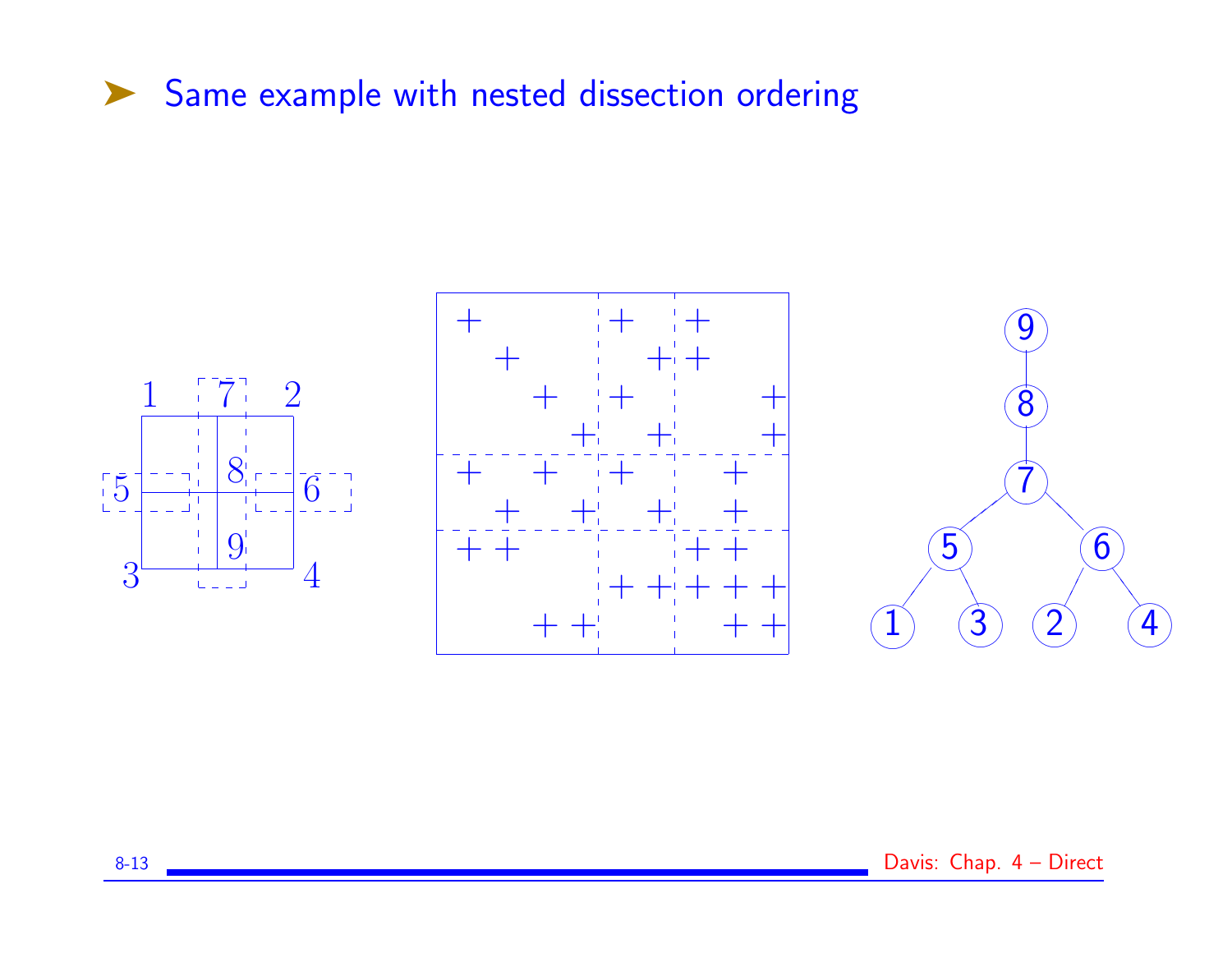### ▶ Same example with nested dissection ordering

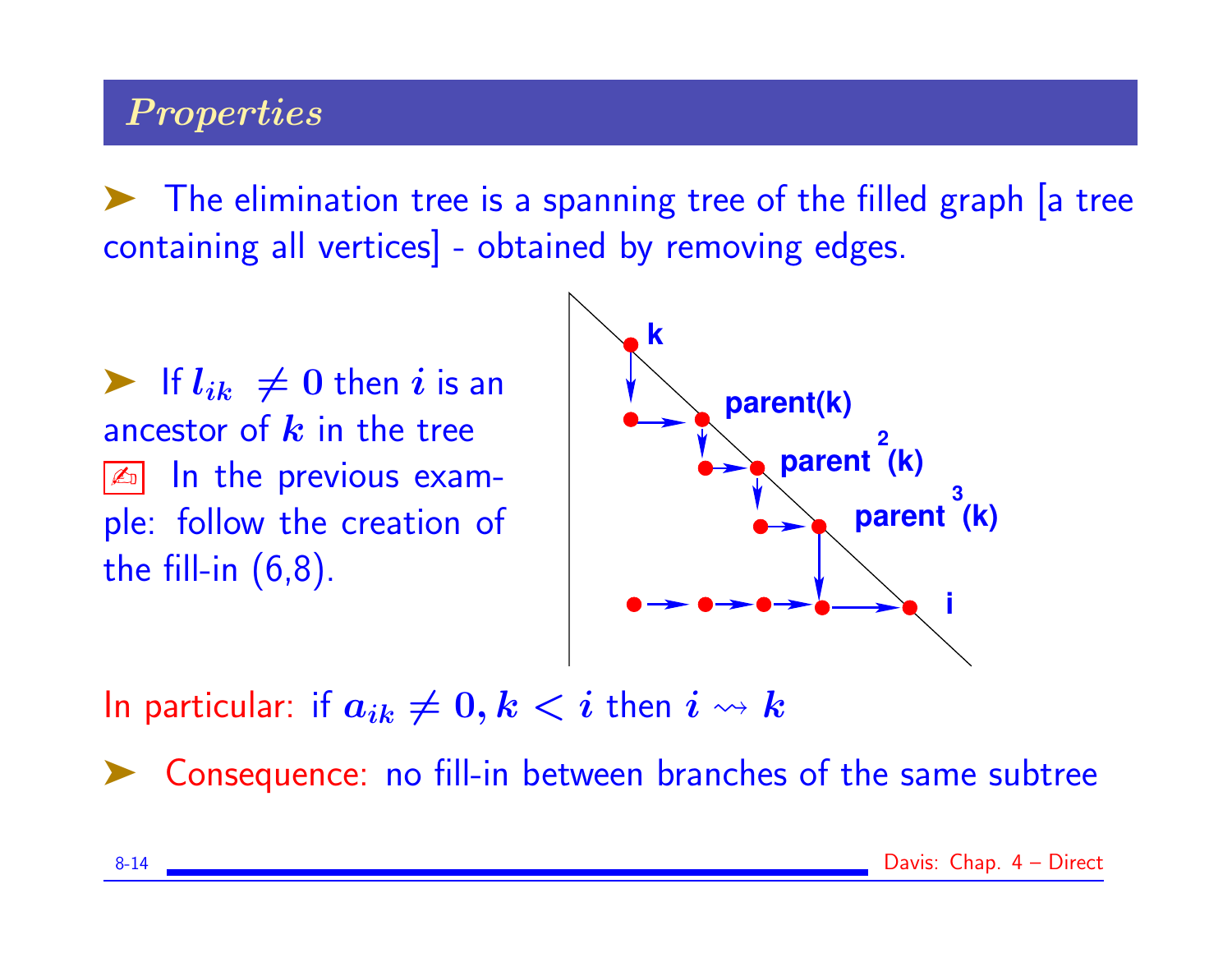# **Properties**

➤ The elimination tree is a spanning tree of the filled graph [a tree containing all vertices] - obtained by removing edges.

 $\blacktriangleright$  If  $l_{ik} \neq 0$  then i is an ancestor of  $k$  in the tree  $\boxed{\mathbb{Z}_2}$  In the previous example: follow the creation of the fill-in  $(6,8)$ .



In particular: if  $a_{ik} \neq 0, k < i$  then  $i \rightsquigarrow k$ 

➤ Consequence: no fill-in between branches of the same subtree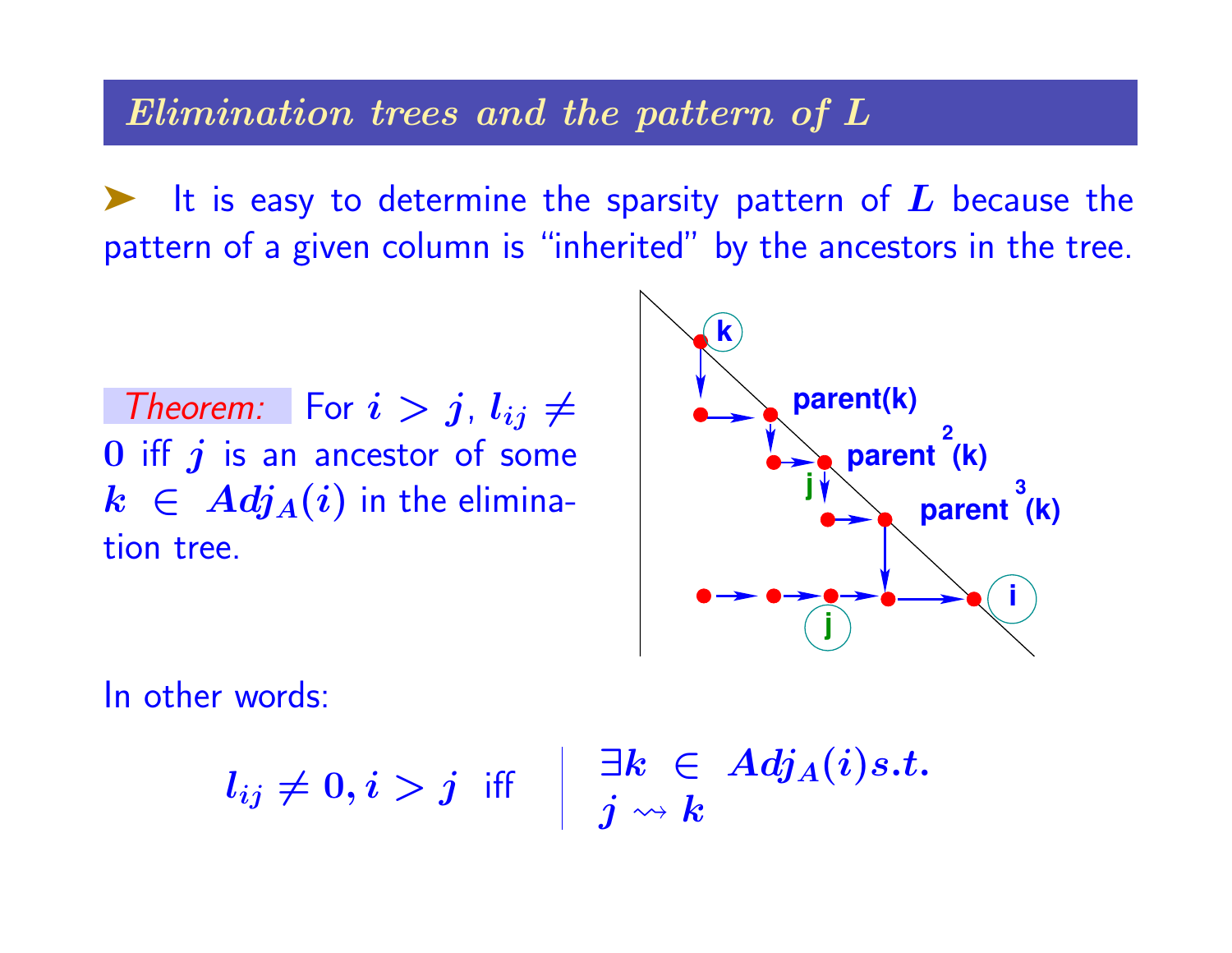Elimination trees and the pattern of L

It is easy to determine the sparsity pattern of  $L$  because the pattern of a given column is "inherited" by the ancestors in the tree.

Theorem: For  $i > j$ ,  $l_{ij} \neq j$  $0$  iff  $j$  is an ancestor of some  $k \in Adj_A(i)$  in the elimination tree.



In other words:

 $l_{ij} \neq 0, i > j$  iff  $\left| \begin{array}{c} \exists k \ \in \ A d j_A(i) s.t. \end{array} \right.$  $\boldsymbol{j} \leadsto \boldsymbol{k}$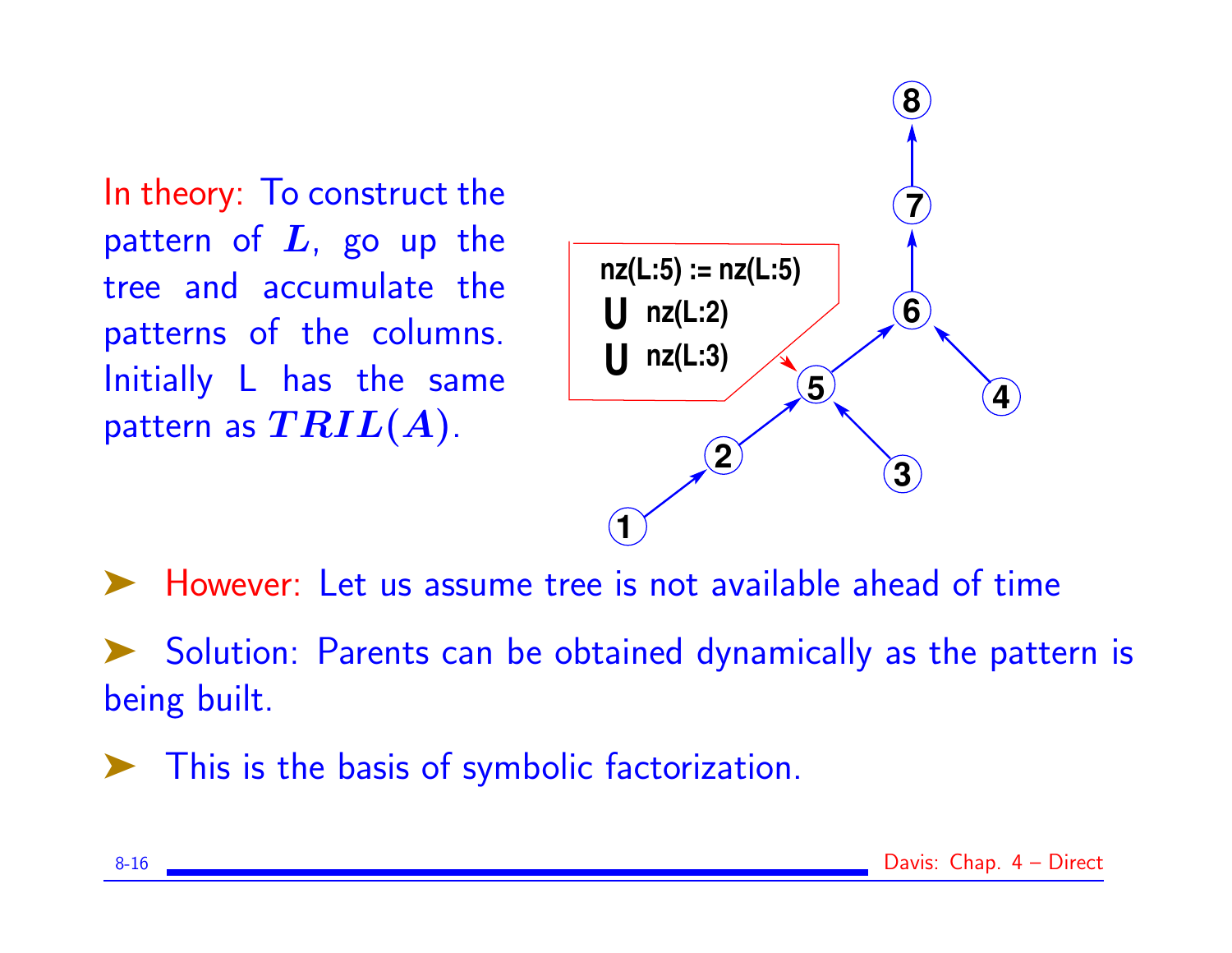In theory: To construct the pattern of  $L$ , go up the tree and accumulate the patterns of the columns. Initially L has the same pattern as  $\mathbf{TRIL}(A)$ .



➤ However: Let us assume tree is not available ahead of time

➤ Solution: Parents can be obtained dynamically as the pattern is being built.

➤ This is the basis of symbolic factorization.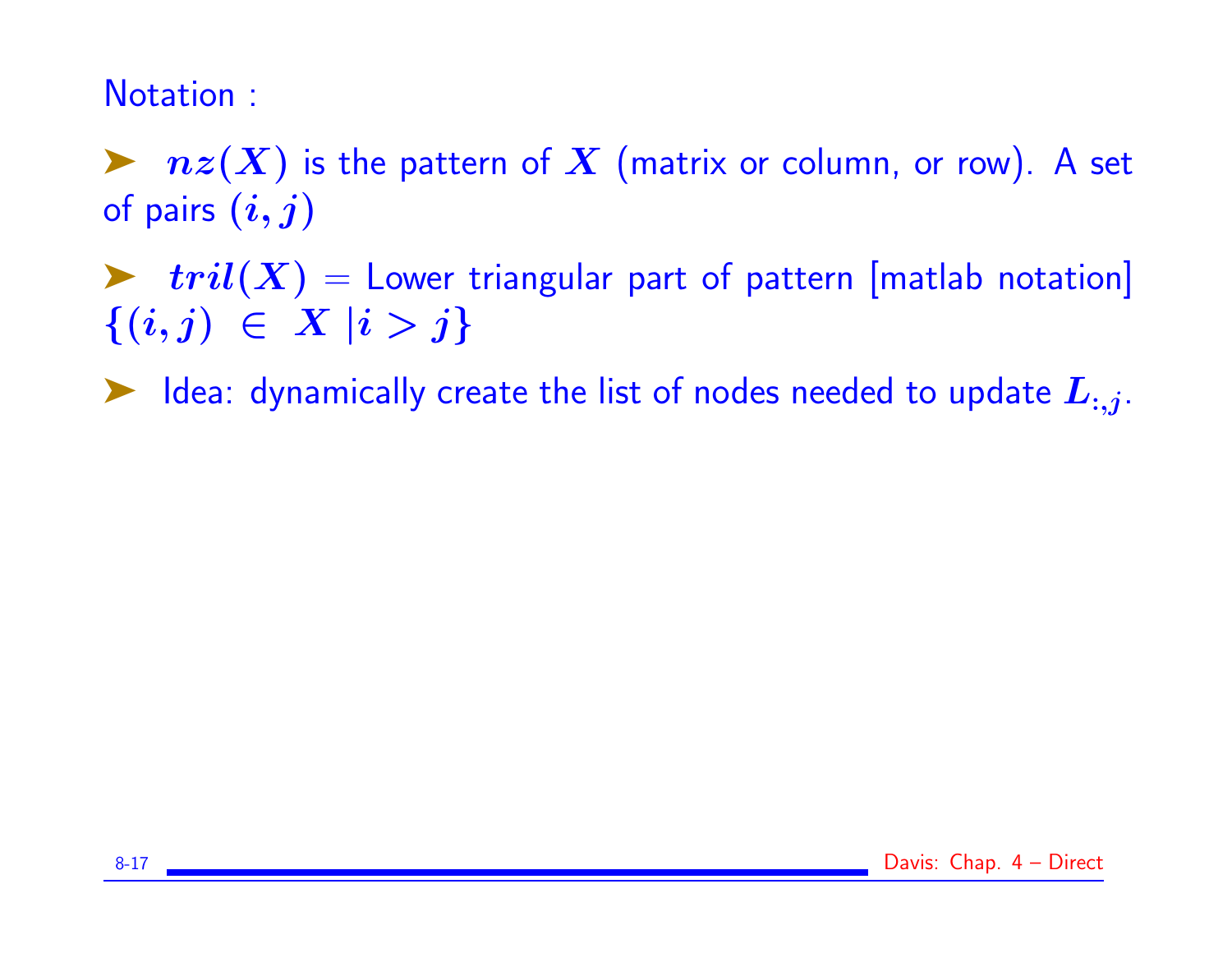### Notation :

 $\blacktriangleright$   $nz(X)$  is the pattern of  $X$  (matrix or column, or row). A set of pairs  $(i, j)$ 

 $\triangleright$   $tril(X) =$  Lower triangular part of pattern [matlab notation]  $\{(i,j) \in X \mid i > j\}$ 

 $\blacktriangleright$  Idea: dynamically create the list of nodes needed to update  $L_{:,j}$ .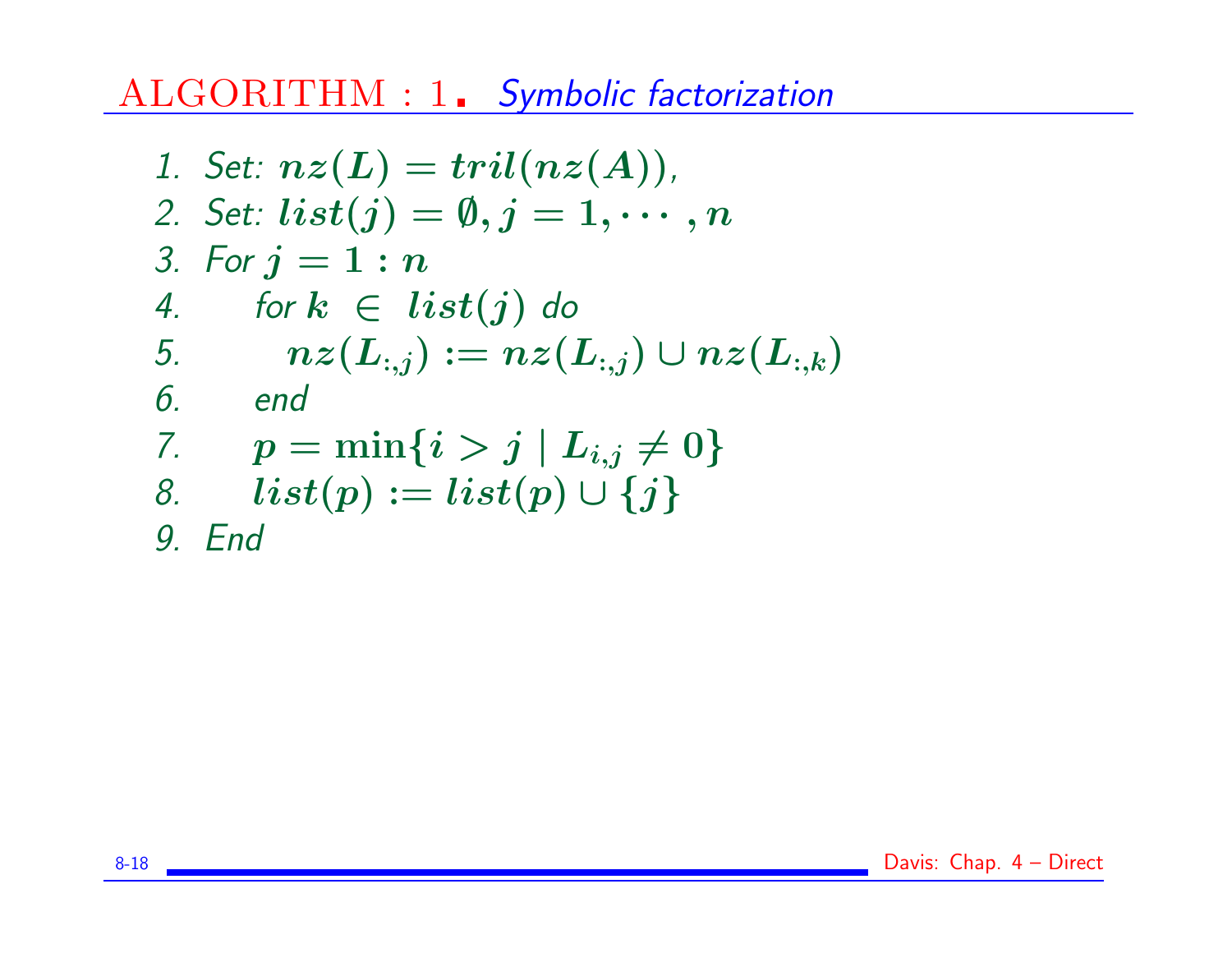ALGORITHM : 1. Symbolic factorization

1. Set: 
$$
nz(L) = tril(nz(A))
$$
,  
\n2. Set:  $list(j) = \emptyset, j = 1, \dots, n$   
\n3. For  $j = 1 : n$   
\n4. for  $k \in list(j)$  do  
\n5.  $nz(L_{:,j}) := nz(L_{:,j}) \cup nz(L_{:,k})$   
\n6. end  
\n7.  $p = min\{i > j | L_{i,j} \neq 0\}$   
\n8.  $list(p) := list(p) \cup \{j\}$   
\n9. End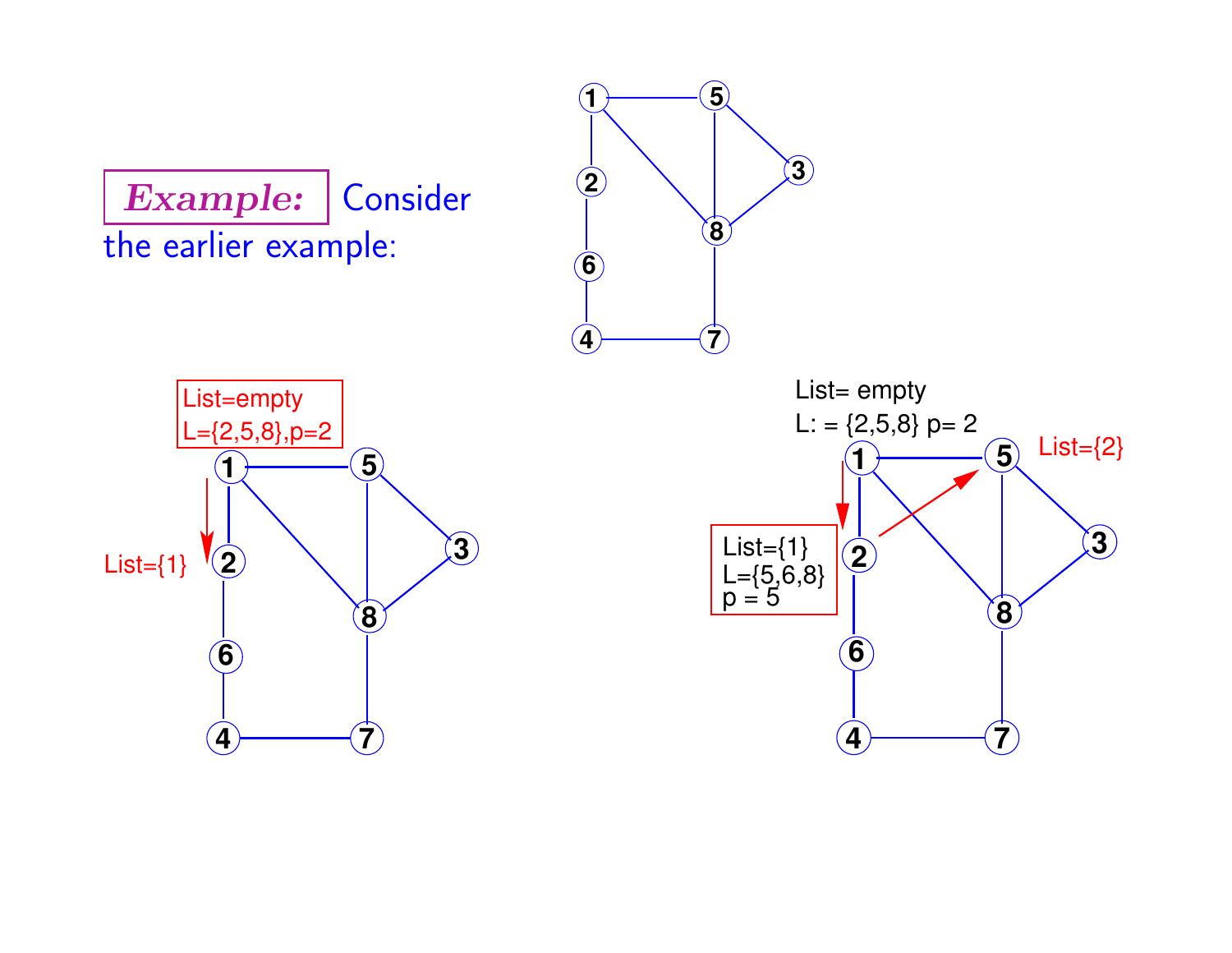Example: Consider the earlier example:





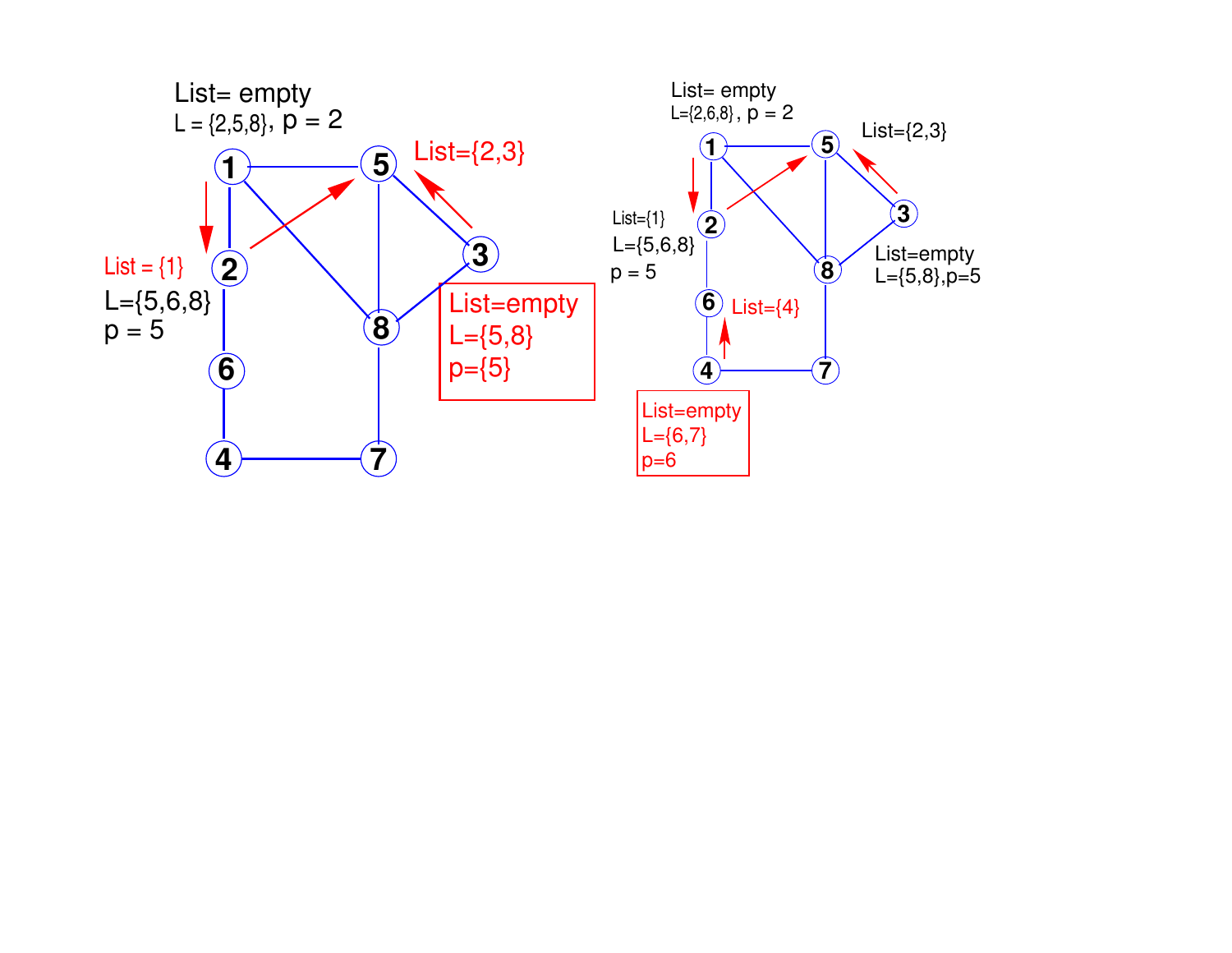